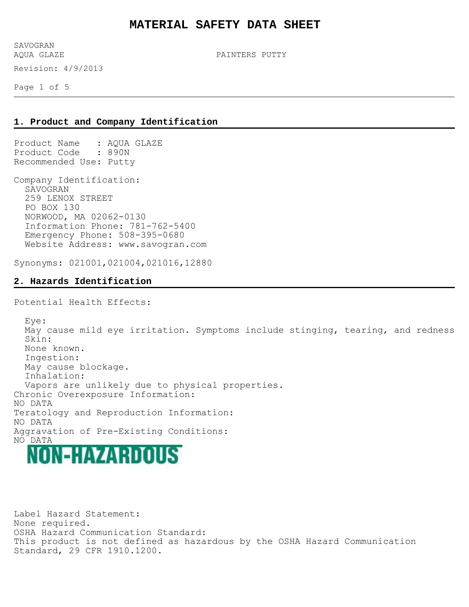Revision: 4/9/2013 SAVOGRAN<br>AQUA GLAZE

PAINTERS PUTTY

Page 1 of 5

#### **1. Product and Company Identification**

Product Name : AQUA GLAZE Product Code : 890N Recommended Use: Putty

Company Identification: SAVOGRAN 259 LENOX STREET PO BOX 130 NORWOOD, MA 02062-0130 Information Phone: 781-762-5400 Emergency Phone: 508-395-0680 Website Address: www.savogran.com

Synonyms: 021001,021004,021016,12880

#### **2. Hazards Identification**

Potential Health Effects:

 Eye: May cause mild eye irritation. Symptoms include stinging, tearing, and redness Skin: None known. Ingestion: May cause blockage. Inhalation: Vapors are unlikely due to physical properties. Chronic Overexposure Information: NO DATA Teratology and Reproduction Information: NO DATA Aggravation of Pre-Existing Conditions: NO DATA<br>MON-HAYARDIOUS

Label Hazard Statement: None required. OSHA Hazard Communication Standard: This product is not defined as hazardous by the OSHA Hazard Communication Standard, 29 CFR 1910.1200.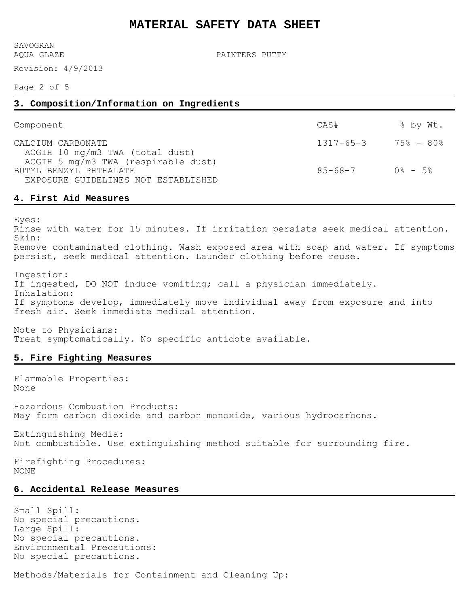SAVOGRAN<br>AQUA GLAZE

Revision: 4/9/2013

PAINTERS PUTTY

Page 2 of 5

# **3. Composition/Information on Ingredients** Component  $\text{CAS}\#$   $\text{CAS}\#$   $\text{CAS}\#$   $\text{CAS}\#$ CALCIUM CARBONATE 1317-65-3 75% - 80% ACGIH 10 mg/m3 TWA (total dust) ACGIH 5 mg/m3 TWA (respirable dust) BUTYL BENZYL PHTHALATE **85-68-7** 0% - 5% EXPOSURE GUIDELINES NOT ESTABLISHED

#### **4. First Aid Measures**

Eyes:

Rinse with water for 15 minutes. If irritation persists seek medical attention. Skin: Remove contaminated clothing. Wash exposed area with soap and water. If symptoms persist, seek medical attention. Launder clothing before reuse.

Ingestion: If ingested, DO NOT induce vomiting; call a physician immediately. Inhalation: If symptoms develop, immediately move individual away from exposure and into fresh air. Seek immediate medical attention.

Note to Physicians: Treat symptomatically. No specific antidote available.

## **5. Fire Fighting Measures**

Flammable Properties: None

Hazardous Combustion Products: May form carbon dioxide and carbon monoxide, various hydrocarbons.

Extinguishing Media: Not combustible. Use extinguishing method suitable for surrounding fire.

Firefighting Procedures: NONE

# **6. Accidental Release Measures**

Small Spill: No special precautions. Large Spill: No special precautions. Environmental Precautions: No special precautions.

Methods/Materials for Containment and Cleaning Up: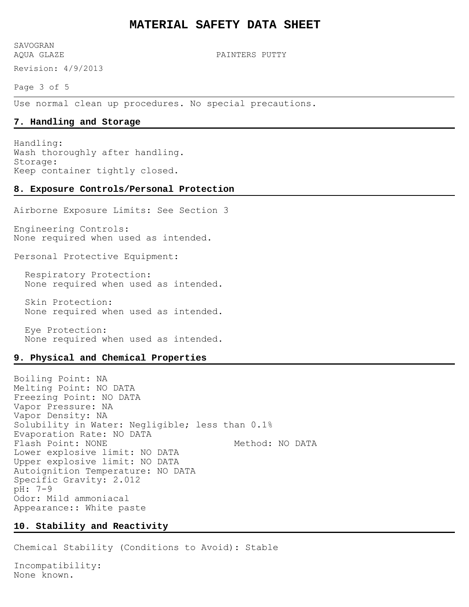SAVOGRAN<br>AQUA GLAZE

Revision: 4/9/2013

PAINTERS PUTTY

Page 3 of 5

Use normal clean up procedures. No special precautions.

#### **7. Handling and Storage**

Handling: Wash thoroughly after handling. Storage: Keep container tightly closed.

#### **8. Exposure Controls/Personal Protection**

Airborne Exposure Limits: See Section 3

Engineering Controls: None required when used as intended.

Personal Protective Equipment:

 Respiratory Protection: None required when used as intended.

 Skin Protection: None required when used as intended.

 Eye Protection: None required when used as intended.

#### **9. Physical and Chemical Properties**

Boiling Point: NA Melting Point: NO DATA Freezing Point: NO DATA Vapor Pressure: NA Vapor Density: NA Solubility in Water: Negligible; less than 0.1% Evaporation Rate: NO DATA Flash Point: NONE Method: MO DATA Lower explosive limit: NO DATA Upper explosive limit: NO DATA Autoignition Temperature: NO DATA Specific Gravity: 2.012 pH: 7-9 Odor: Mild ammoniacal Appearance:: White paste

#### **10. Stability and Reactivity**

Chemical Stability (Conditions to Avoid): Stable

Incompatibility: None known.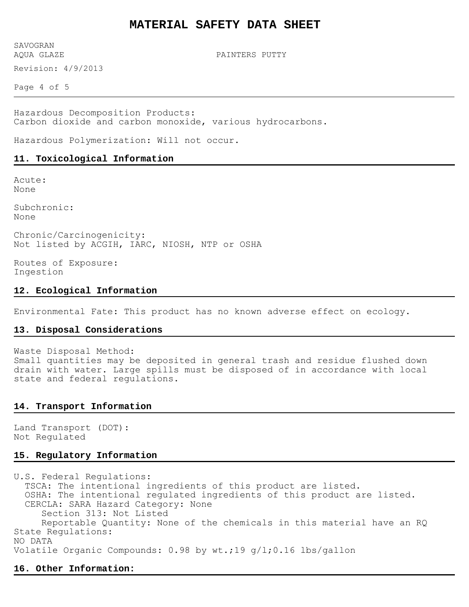Revision: 4/9/2013 SAVOGRAN<br>AQUA GLAZE

PAINTERS PUTTY

Page 4 of 5

Hazardous Decomposition Products: Carbon dioxide and carbon monoxide, various hydrocarbons.

Hazardous Polymerization: Will not occur.

#### **11. Toxicological Information**

Acute: None

Subchronic: None

Chronic/Carcinogenicity: Not listed by ACGIH, IARC, NIOSH, NTP or OSHA

Routes of Exposure: Ingestion

### **12. Ecological Information**

Environmental Fate: This product has no known adverse effect on ecology.

#### **13. Disposal Considerations**

Waste Disposal Method: Small quantities may be deposited in general trash and residue flushed down drain with water. Large spills must be disposed of in accordance with local state and federal regulations.

#### **14. Transport Information**

Land Transport (DOT): Not Regulated

### **15. Regulatory Information**

U.S. Federal Regulations: TSCA: The intentional ingredients of this product are listed. OSHA: The intentional regulated ingredients of this product are listed. CERCLA: SARA Hazard Category: None Section 313: Not Listed Reportable Quantity: None of the chemicals in this material have an RQ State Regulations: NO DATA Volatile Organic Compounds: 0.98 by wt.;19 g/l;0.16 lbs/gallon

## **16. Other Information:**